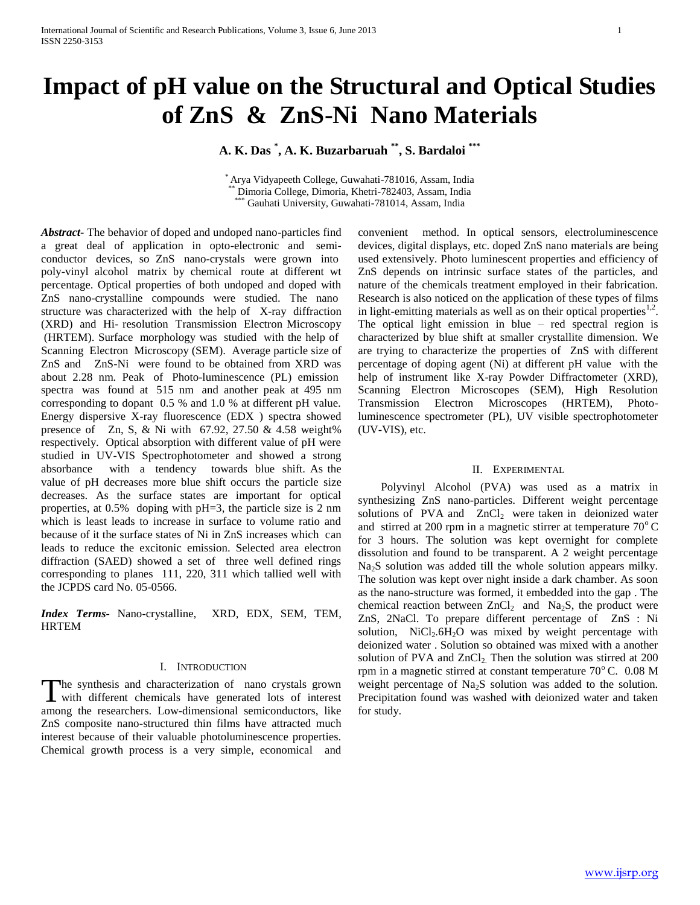# **Impact of pH value on the Structural and Optical Studies of ZnS & ZnS-Ni Nano Materials**

**A. K. Das \* , A. K. Buzarbaruah \*\* , S. Bardaloi \*\*\***

\* Arya Vidyapeeth College, Guwahati-781016, Assam, India \*\* Dimoria College, Dimoria, Khetri-782403, Assam, India Gauhati University, Guwahati-781014, Assam, India

*Abstract***-** The behavior of doped and undoped nano-particles find a great deal of application in opto-electronic and semiconductor devices, so ZnS nano-crystals were grown into poly-vinyl alcohol matrix by chemical route at different wt percentage. Optical properties of both undoped and doped with ZnS nano-crystalline compounds were studied. The nano structure was characterized with the help of X-ray diffraction (XRD) and Hi- resolution Transmission Electron Microscopy (HRTEM). Surface morphology was studied with the help of Scanning Electron Microscopy (SEM). Average particle size of ZnS and ZnS-Ni were found to be obtained from XRD was about 2.28 nm. Peak of Photo-luminescence (PL) emission spectra was found at 515 nm and another peak at 495 nm corresponding to dopant 0.5 % and 1.0 % at different pH value. Energy dispersive X-ray fluorescence (EDX ) spectra showed presence of Zn, S, & Ni with  $67.92$ ,  $27.50$  & 4.58 weight% respectively. Optical absorption with different value of pH were studied in UV-VIS Spectrophotometer and showed a strong absorbance with a tendency towards blue shift. As the value of pH decreases more blue shift occurs the particle size decreases. As the surface states are important for optical properties, at 0.5% doping with pH=3, the particle size is 2 nm which is least leads to increase in surface to volume ratio and because of it the surface states of Ni in ZnS increases which can leads to reduce the excitonic emission. Selected area electron diffraction (SAED) showed a set of three well defined rings corresponding to planes 111, 220, 311 which tallied well with the JCPDS card No. 05-0566.

*Index Terms*- Nano-crystalline, XRD, EDX, SEM, TEM, HRTEM

## I. INTRODUCTION

The synthesis and characterization of nano crystals grown The synthesis and characterization of nano crystals grown<br>with different chemicals have generated lots of interest among the researchers. Low-dimensional semiconductors, like ZnS composite nano-structured thin films have attracted much interest because of their valuable photoluminescence properties. Chemical growth process is a very simple, economical and

convenient method. In optical sensors, electroluminescence devices, digital displays, etc. doped ZnS nano materials are being used extensively. Photo luminescent properties and efficiency of ZnS depends on intrinsic surface states of the particles, and nature of the chemicals treatment employed in their fabrication. Research is also noticed on the application of these types of films in light-emitting materials as well as on their optical properties $1,2$ . The optical light emission in blue – red spectral region is characterized by blue shift at smaller crystallite dimension. We are trying to characterize the properties of ZnS with different percentage of doping agent (Ni) at different pH value with the help of instrument like X-ray Powder Diffractometer (XRD), Scanning Electron Microscopes (SEM), High Resolution Transmission Electron Microscopes (HRTEM), Photoluminescence spectrometer (PL), UV visible spectrophotometer (UV-VIS), etc.

## II. EXPERIMENTAL

 Polyvinyl Alcohol (PVA) was used as a matrix in synthesizing ZnS nano-particles. Different weight percentage solutions of PVA and  $ZnCl<sub>2</sub>$  were taken in deionized water and stirred at 200 rpm in a magnetic stirrer at temperature  $70^{\circ}$  C for 3 hours. The solution was kept overnight for complete dissolution and found to be transparent. A 2 weight percentage Na2S solution was added till the whole solution appears milky. The solution was kept over night inside a dark chamber. As soon as the nano-structure was formed, it embedded into the gap . The chemical reaction between  $ZnCl<sub>2</sub>$  and Na<sub>2</sub>S, the product were ZnS, 2NaCl. To prepare different percentage of ZnS : Ni solution,  $NiCl<sub>2</sub>.6H<sub>2</sub>O$  was mixed by weight percentage with deionized water . Solution so obtained was mixed with a another solution of PVA and  $ZnCl<sub>2</sub>$ . Then the solution was stirred at 200 rpm in a magnetic stirred at constant temperature  $70^{\circ}$  C. 0.08 M weight percentage of  $Na<sub>2</sub>S$  solution was added to the solution. Precipitation found was washed with deionized water and taken for study.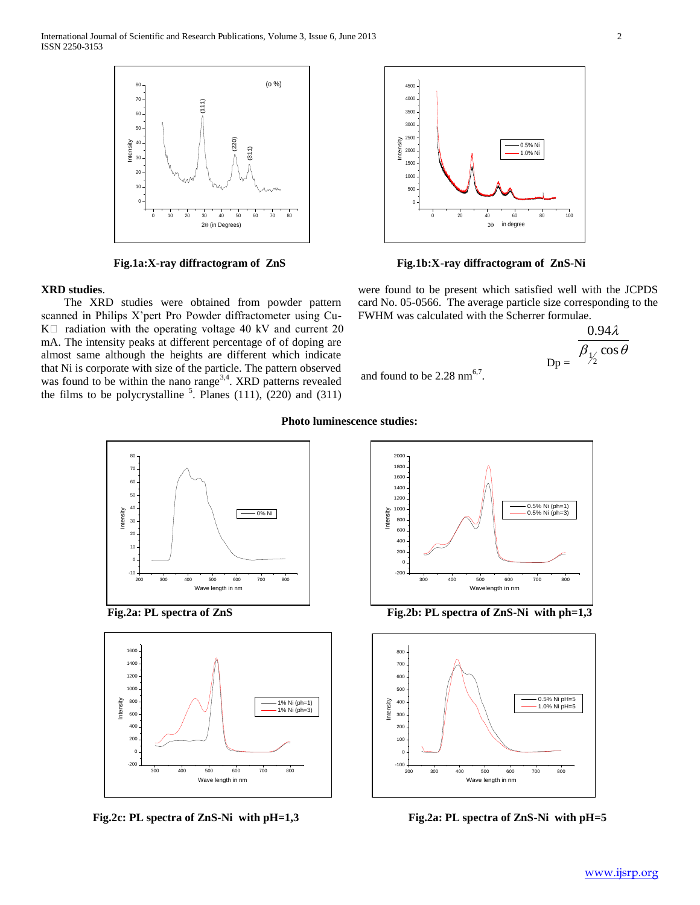International Journal of Scientific and Research Publications, Volume 3, Issue 6, June 2013 2 ISSN 2250-3153



## **XRD studies**.

 The XRD studies were obtained from powder pattern scanned in Philips X'pert Pro Powder diffractometer using Cu- $K \Box$  radiation with the operating voltage 40 kV and current 20 mA. The intensity peaks at different percentage of of doping are almost same although the heights are different which indicate that Ni is corporate with size of the particle. The pattern observed was found to be within the nano range<sup>3,4</sup>. XRD patterns revealed the films to be polycrystalline  $\frac{5}{2}$ . Planes (111), (220) and (311)



**Fig.1a:X-ray diffractogram of ZnS Fig.1b:X-ray diffractogram of ZnS-Ni**

were found to be present which satisfied well with the JCPDS card No. 05-0566. The average particle size corresponding to the FWHM was calculated with the Scherrer formulae.

 $0.94\lambda$ 

$$
p = \frac{\beta_{1/2} \cos \theta}{\beta}
$$

$$
Dp =
$$
 and found to be 2.28 nm<sup>6.7</sup>.







**Fig.2c: PL spectra of ZnS-Ni with pH=1,3 Fig.2a: PL spectra of ZnS-Ni with pH=5**



Fig.2a: PL spectra of ZnS<br>
Fig.2b: PL spectra of ZnS-Ni with ph=1,3



## **Photo luminescence studies:**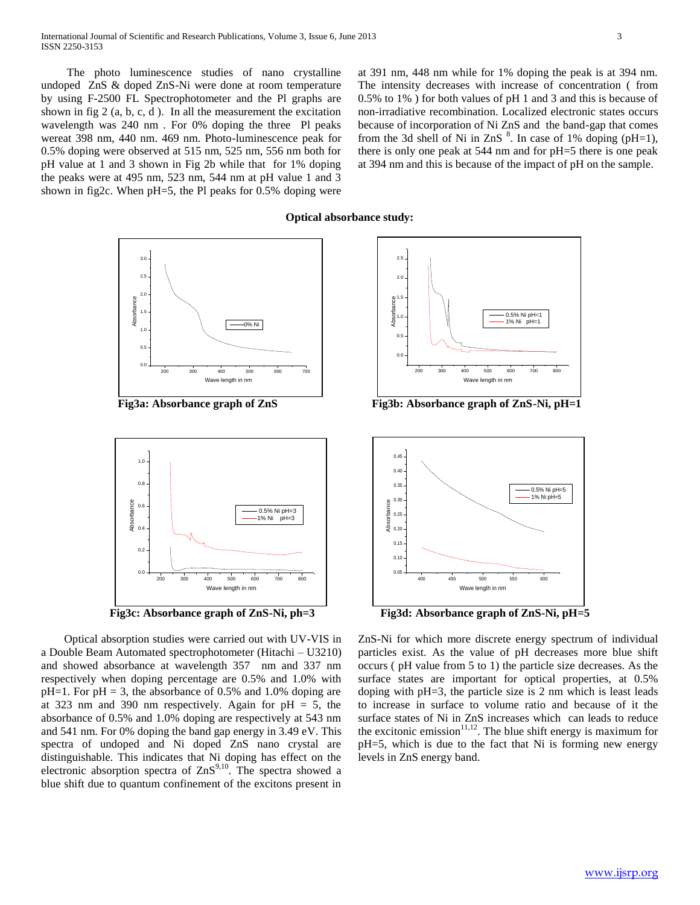The photo luminescence studies of nano crystalline undoped ZnS & doped ZnS-Ni were done at room temperature by using F-2500 FL Spectrophotometer and the Pl graphs are shown in fig 2 (a, b, c, d ). In all the measurement the excitation wavelength was 240 nm . For 0% doping the three Pl peaks wereat 398 nm, 440 nm. 469 nm. Photo-luminescence peak for 0.5% doping were observed at 515 nm, 525 nm, 556 nm both for pH value at 1 and 3 shown in Fig 2b while that for 1% doping the peaks were at 495 nm, 523 nm, 544 nm at pH value 1 and 3 shown in fig2c. When pH=5, the Pl peaks for 0.5% doping were at 391 nm, 448 nm while for 1% doping the peak is at 394 nm. The intensity decreases with increase of concentration ( from 0.5% to 1% ) for both values of pH 1 and 3 and this is because of non-irradiative recombination. Localized electronic states occurs because of incorporation of Ni ZnS and the band-gap that comes from the 3d shell of Ni in ZnS  $\text{S}$ . In case of 1% doping (pH=1), there is only one peak at 544 nm and for pH=5 there is one peak at 394 nm and this is because of the impact of pH on the sample.

## **Optical absorbance study:**







 Optical absorption studies were carried out with UV-VIS in a Double Beam Automated spectrophotometer (Hitachi – U3210) and showed absorbance at wavelength 357 nm and 337 nm respectively when doping percentage are 0.5% and 1.0% with  $pH=1$ . For  $pH = 3$ , the absorbance of 0.5% and 1.0% doping are at 323 nm and 390 nm respectively. Again for  $pH = 5$ , the absorbance of 0.5% and 1.0% doping are respectively at 543 nm and 541 nm. For 0% doping the band gap energy in 3.49 eV. This spectra of undoped and Ni doped ZnS nano crystal are distinguishable. This indicates that Ni doping has effect on the electronic absorption spectra of  $ZnS^{9,10}$ . The spectra showed a blue shift due to quantum confinement of the excitons present in



**Fig3a: Absorbance graph of ZnS Fig3b: Absorbance graph of ZnS-Ni, pH=1**



**Fig3c: Absorbance graph of ZnS-Ni, ph=3 Fig3d: Absorbance graph of ZnS-Ni, pH=5**

ZnS-Ni for which more discrete energy spectrum of individual particles exist. As the value of pH decreases more blue shift occurs ( pH value from 5 to 1) the particle size decreases. As the surface states are important for optical properties, at 0.5% doping with pH=3, the particle size is 2 nm which is least leads to increase in surface to volume ratio and because of it the surface states of Ni in ZnS increases which can leads to reduce the excitonic emission $11,12$ . The blue shift energy is maximum for pH=5, which is due to the fact that Ni is forming new energy levels in ZnS energy band.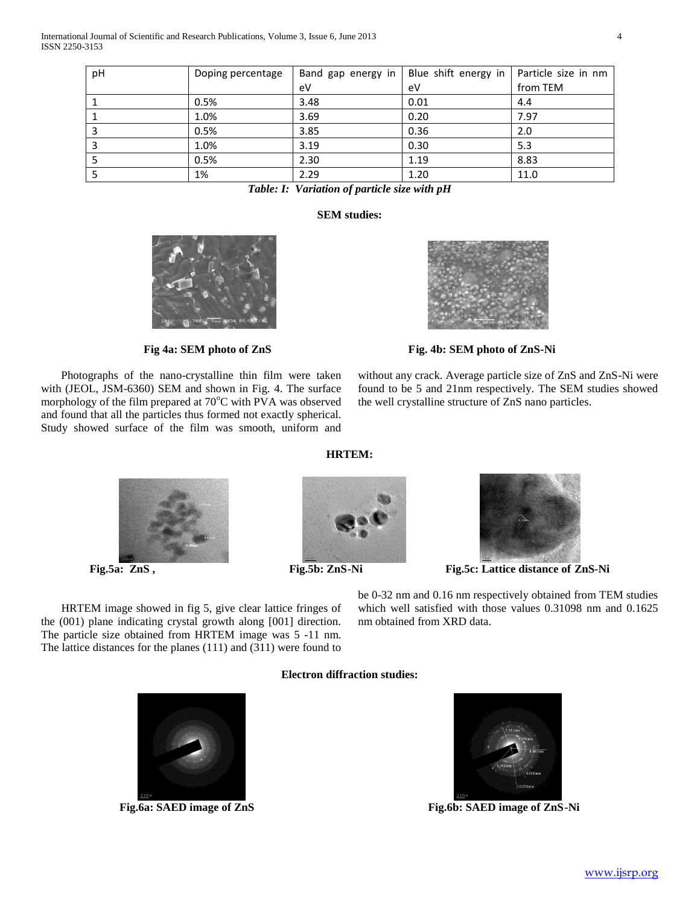| pH                        | Doping percentage |      | Band gap energy in   Blue shift energy in   Particle size in nm |          |  |
|---------------------------|-------------------|------|-----------------------------------------------------------------|----------|--|
|                           |                   | eV   | eV                                                              | from TEM |  |
|                           | 0.5%              | 3.48 | 0.01                                                            | 4.4      |  |
|                           | 1.0%              | 3.69 | 0.20                                                            | 7.97     |  |
|                           | 0.5%              | 3.85 | 0.36                                                            | 2.0      |  |
|                           | 1.0%              | 3.19 | 0.30                                                            | 5.3      |  |
|                           | 0.5%              | 2.30 | 1.19                                                            | 8.83     |  |
|                           | 1%                | 2.29 | 1.20                                                            | 11.0     |  |
| $\sim$ $\sim$ $\sim$<br>. |                   |      |                                                                 |          |  |

*Table: I: Variation of particle size with pH*

# **SEM studies:**

 Photographs of the nano-crystalline thin film were taken with (JEOL, JSM-6360) SEM and shown in Fig. 4. The surface morphology of the film prepared at 70°C with PVA was observed and found that all the particles thus formed not exactly spherical. Study showed surface of the film was smooth, uniform and



Fig. 4a: SEM photo of ZnS Fig. 4b: SEM photo of ZnS-Ni

without any crack. Average particle size of ZnS and ZnS-Ni were found to be 5 and 21nm respectively. The SEM studies showed the well crystalline structure of ZnS nano particles.



**HRTEM:**





**Fig.5a: ZnS , Fig.5b: ZnS-Ni Fig.5c: Lattice distance of ZnS-Ni**

be 0-32 nm and 0.16 nm respectively obtained from TEM studies which well satisfied with those values 0.31098 nm and 0.1625 nm obtained from XRD data.

 HRTEM image showed in fig 5, give clear lattice fringes of the (001) plane indicating crystal growth along [001] direction. The particle size obtained from HRTEM image was 5 -11 nm. The lattice distances for the planes (111) and (311) were found to

# **Electron diffraction studies:**



Fig.6a: SAED image of ZnS



**Fig.6a: SAED image of ZnS Fig.6b: SAED image of ZnS-Ni**